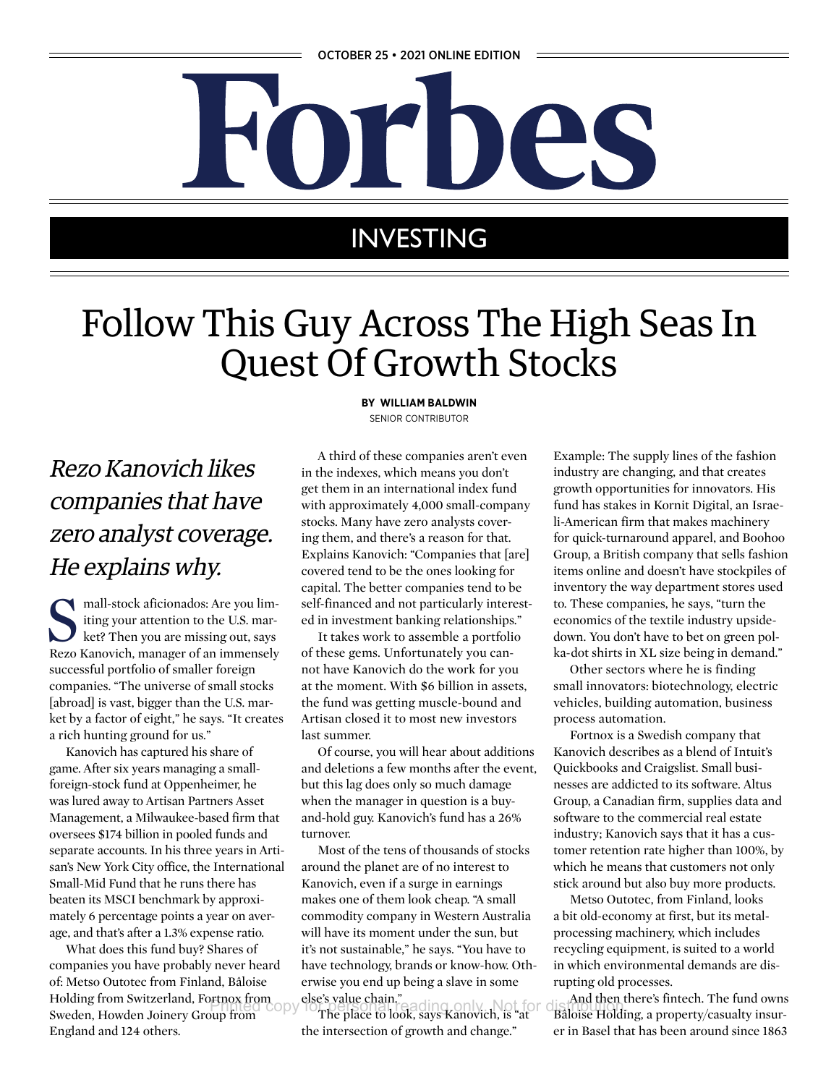## INVESTING

## Follow This Guy Across The High Seas In Quest Of Growth Stocks

Rezo Kanovich likes companies that have zero analyst coverage. He explains why.

mall-stock aficionados: Are you lim-<br>iting your attention to the U.S. mar-<br>ket? Then you are missing out, says<br>Rezo Kanovich manager of an immensely iting your attention to the U.S. market? Then you are missing out, says Rezo Kanovich, manager of an immensely successful portfolio of smaller foreign companies. "The universe of small stocks [abroad] is vast, bigger than the U.S. market by a factor of eight," he says. "It creates a rich hunting ground for us."

Kanovich has captured his share of game. After six years managing a smallforeign-stock fund at Oppenheimer, he was lured away to Artisan Partners Asset Management, a Milwaukee-based firm that oversees \$174 billion in pooled funds and separate accounts. In his three years in Artisan's New York City office, the International Small-Mid Fund that he runs there has beaten its MSCI benchmark by approximately 6 percentage points a year on average, and that's after a 1.3% expense ratio.

What does this fund buy? Shares of companies you have probably never heard of: Metso Outotec from Finland, Bâloise Holding from Switzerland, Fortnox from Sweden, Howden Joinery Group from England and 124 others.

**BY WILLIAM BALDWIN** SENIOR CONTRIBUTOR

A third of these companies aren't even in the indexes, which means you don't get them in an international index fund with approximately 4,000 small-company stocks. Many have zero analysts covering them, and there's a reason for that. Explains Kanovich: "Companies that [are] covered tend to be the ones looking for capital. The better companies tend to be self-financed and not particularly interested in investment banking relationships."

It takes work to assemble a portfolio of these gems. Unfortunately you cannot have Kanovich do the work for you at the moment. With \$6 billion in assets, the fund was getting muscle-bound and Artisan closed it to most new investors last summer.

Of course, you will hear about additions and deletions a few months after the event, but this lag does only so much damage when the manager in question is a buyand-hold guy. Kanovich's fund has a 26% turnover.

Most of the tens of thousands of stocks around the planet are of no interest to Kanovich, even if a surge in earnings makes one of them look cheap. "A small commodity company in Western Australia will have its moment under the sun, but it's not sustainable," he says. "You have to have technology, brands or know-how. Otherwise you end up being a slave in some else's value chain."

And then the place to look, says Kanovich, is "at a Bâloise Holdi the intersection of growth and change."

Example: The supply lines of the fashion industry are changing, and that creates growth opportunities for innovators. His fund has stakes in Kornit Digital, an Israeli-American firm that makes machinery for quick-turnaround apparel, and Boohoo Group, a British company that sells fashion items online and doesn't have stockpiles of inventory the way department stores used to. These companies, he says, "turn the economics of the textile industry upsidedown. You don't have to bet on green polka-dot shirts in XL size being in demand."

Other sectors where he is finding small innovators: biotechnology, electric vehicles, building automation, business process automation.

Fortnox is a Swedish company that Kanovich describes as a blend of Intuit's Quickbooks and Craigslist. Small businesses are addicted to its software. Altus Group, a Canadian firm, supplies data and software to the commercial real estate industry; Kanovich says that it has a customer retention rate higher than 100%, by which he means that customers not only stick around but also buy more products.

Metso Outotec, from Finland, looks a bit old-economy at first, but its metalprocessing machinery, which includes recycling equipment, is suited to a world in which environmental demands are disrupting old processes.

And then there's fintech. The fund owns Bâloise Holding, a property/casualty insurer in Basel that has been around since 1863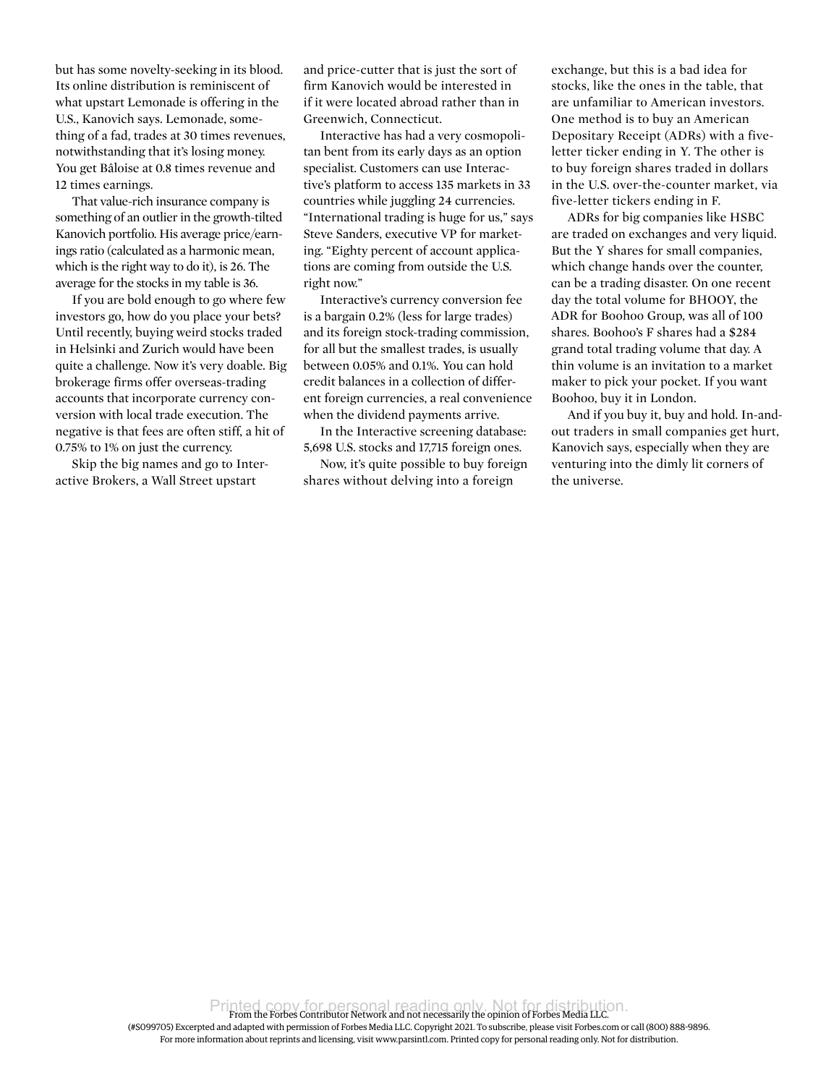but has some novelty-seeking in its blood. Its online distribution is reminiscent of what upstart Lemonade is offering in the U.S., Kanovich says. Lemonade, something of a fad, trades at 30 times revenues, notwithstanding that it's losing money. You get Bâloise at 0.8 times revenue and 12 times earnings.

That value-rich insurance company is something of an outlier in the growth-tilted Kanovich portfolio. His average price/earnings ratio (calculated as a harmonic mean, which is the right way to do it), is 26. The average for the stocks in my table is 36.

If you are bold enough to go where few investors go, how do you place your bets? Until recently, buying weird stocks traded in Helsinki and Zurich would have been quite a challenge. Now it's very doable. Big brokerage firms offer overseas-trading accounts that incorporate currency conversion with local trade execution. The negative is that fees are often stiff, a hit of 0.75% to 1% on just the currency.

Skip the big names and go to Interactive Brokers, a Wall Street upstart

and price-cutter that is just the sort of firm Kanovich would be interested in if it were located abroad rather than in Greenwich, Connecticut.

Interactive has had a very cosmopolitan bent from its early days as an option specialist. Customers can use Interactive's platform to access 135 markets in 33 countries while juggling 24 currencies. "International trading is huge for us," says Steve Sanders, executive VP for marketing. "Eighty percent of account applications are coming from outside the U.S. right now."

Interactive's currency conversion fee is a bargain 0.2% (less for large trades) and its foreign stock-trading commission, for all but the smallest trades, is usually between 0.05% and 0.1%. You can hold credit balances in a collection of different foreign currencies, a real convenience when the dividend payments arrive.

In the Interactive screening database: 5,698 U.S. stocks and 17,715 foreign ones.

Now, it's quite possible to buy foreign shares without delving into a foreign

exchange, but this is a bad idea for stocks, like the ones in the table, that are unfamiliar to American investors. One method is to buy an American Depositary Receipt (ADRs) with a fiveletter ticker ending in Y. The other is to buy foreign shares traded in dollars in the U.S. over-the-counter market, via five-letter tickers ending in F.

ADRs for big companies like HSBC are traded on exchanges and very liquid. But the Y shares for small companies, which change hands over the counter, can be a trading disaster. On one recent day the total volume for BHOOY, the ADR for Boohoo Group, was all of 100 shares. Boohoo's F shares had a \$284 grand total trading volume that day. A thin volume is an invitation to a market maker to pick your pocket. If you want Boohoo, buy it in London.

And if you buy it, buy and hold. In-andout traders in small companies get hurt, Kanovich says, especially when they are venturing into the dimly lit corners of the universe.